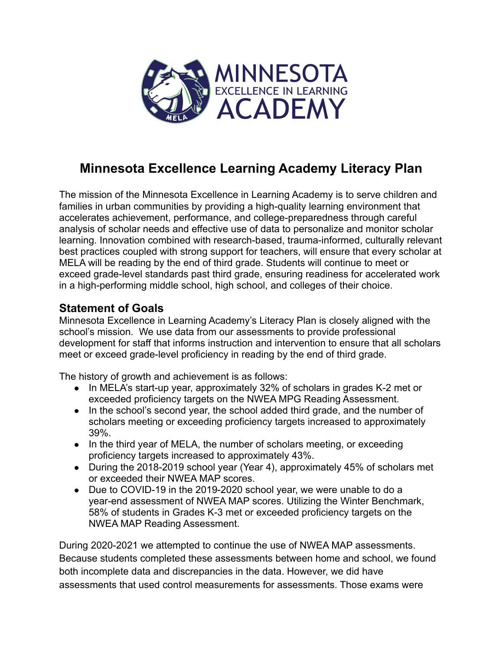

## **Minnesota Excellence Learning Academy Literacy Plan**

The mission of the Minnesota Excellence in Learning Academy is to serve children and families in urban communities by providing a high-quality learning environment that accelerates achievement, performance, and college-preparedness through careful analysis of scholar needs and effective use of data to personalize and monitor scholar learning. Innovation combined with research-based, trauma-informed, culturally relevant best practices coupled with strong support for teachers, will ensure that every scholar at MELA will be reading by the end of third grade. Students will continue to meet or exceed grade-level standards past third grade, ensuring readiness for accelerated work in a high-performing middle school, high school, and colleges of their choice.

## **Statement of Goals**

Minnesota Excellence in Learning Academy's Literacy Plan is closely aligned with the school's mission. We use data from our assessments to provide professional development for staff that informs instruction and intervention to ensure that all scholars meet or exceed grade-level proficiency in reading by the end of third grade.

The history of growth and achievement is as follows:

- In MELA's start-up year, approximately 32% of scholars in grades K-2 met or exceeded proficiency targets on the NWEA MPG Reading Assessment.
- In the school's second year, the school added third grade, and the number of scholars meeting or exceeding proficiency targets increased to approximately 39%.
- In the third year of MELA, the number of scholars meeting, or exceeding proficiency targets increased to approximately 43%.
- During the 2018-2019 school year (Year 4), approximately 45% of scholars met or exceeded their NWEA MAP scores.
- Due to COVID-19 in the 2019-2020 school year, we were unable to do a year-end assessment of NWEA MAP scores. Utilizing the Winter Benchmark, 58% of students in Grades K-3 met or exceeded proficiency targets on the NWEA MAP Reading Assessment.

During 2020-2021 we attempted to continue the use of NWEA MAP assessments. Because students completed these assessments between home and school, we found both incomplete data and discrepancies in the data. However, we did have assessments that used control measurements for assessments. Those exams were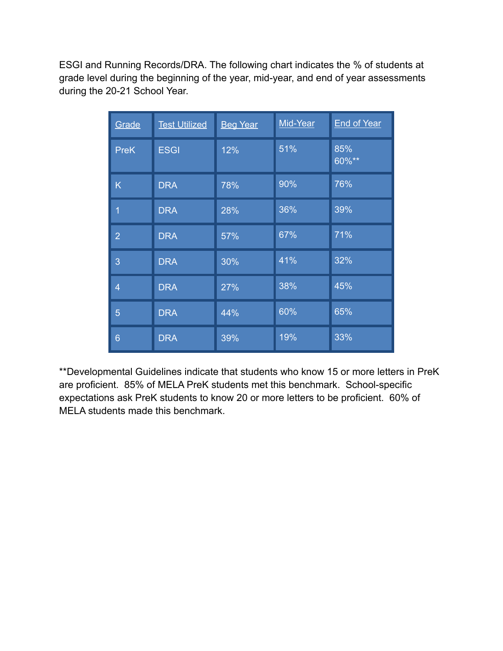ESGI and Running Records/DRA. The following chart indicates the % of students at grade level during the beginning of the year, mid-year, and end of year assessments during the 20-21 School Year.

| Grade          | <b>Test Utilized</b> | <b>Beg Year</b> | Mid-Year | <b>End of Year</b> |
|----------------|----------------------|-----------------|----------|--------------------|
| <b>PreK</b>    | <b>ESGI</b>          | 12%             | 51%      | 85%<br>$60\%**$    |
| K              | <b>DRA</b>           | 78%             | 90%      | 76%                |
| $\overline{1}$ | <b>DRA</b>           | 28%             | 36%      | 39%                |
| $\overline{2}$ | <b>DRA</b>           | 57%             | 67%      | 71%                |
| 3              | <b>DRA</b>           | 30%             | 41%      | 32%                |
| $\overline{4}$ | <b>DRA</b>           | 27%             | 38%      | 45%                |
| 5              | <b>DRA</b>           | 44%             | 60%      | 65%                |
| 6              | <b>DRA</b>           | 39%             | 19%      | 33%                |

\*\*Developmental Guidelines indicate that students who know 15 or more letters in PreK are proficient. 85% of MELA PreK students met this benchmark. School-specific expectations ask PreK students to know 20 or more letters to be proficient. 60% of MELA students made this benchmark.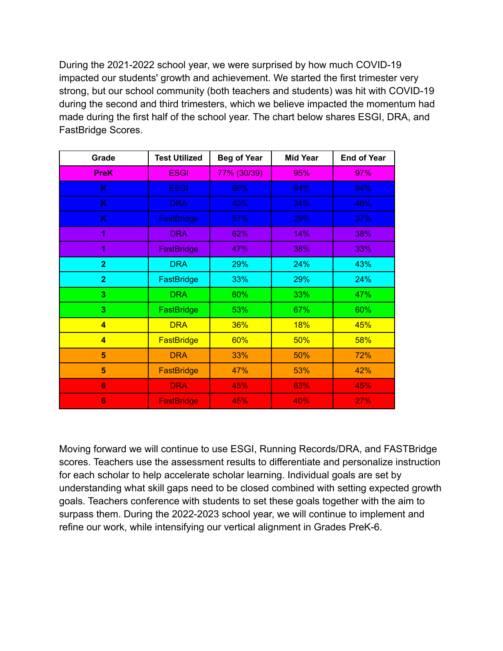During the 2021-2022 school year, we were surprised by how much COVID-19 impacted our students' growth and achievement. We started the first trimester very strong, but our school community (both teachers and students) was hit with COVID-19 during the second and third trimesters, which we believe impacted the momentum had made during the first half of the school year. The chart below shares ESGI, DRA, and FastBridge Scores.

| Grade                   | <b>Test Utilized</b>     | <b>Beg of Year</b> | <b>Mid Year</b> | <b>End of Year</b> |
|-------------------------|--------------------------|--------------------|-----------------|--------------------|
| <b>PreK</b>             | <b>ESGI</b>              | 77% (30/39)        | 95%             | 97%                |
| K                       | <b>ESGI</b>              | 69%                | 94%             | 94%                |
| K                       | <b>DRA</b>               | 43%                | 34%             | 46%                |
| K                       | FastBridge               | 57%                | 29%             | 37%                |
| 1                       | <b>DRA</b>               | 62%                | 14%             | 38%                |
| 1                       | <b>FastBridge</b>        | 47%                | 38%             | 33%                |
| $\overline{2}$          | <b>DRA</b>               | 29%                | 24%             | 43%                |
| $\overline{2}$          | 33%<br><b>FastBridge</b> |                    | 29%             | 24%                |
| 3                       | <b>DRA</b>               | 60%                | 33%             | 47%                |
| 3                       | FastBridge               | 53%                | 67%             | 60%                |
| $\overline{\mathbf{4}}$ | <b>DRA</b>               | <b>36%</b>         | <b>18%</b>      | 45%                |
| $\overline{\mathbf{4}}$ | <b>FastBridge</b>        | 60%                | 50%             | 58%                |
| 5                       | <b>DRA</b>               | 33%                | 50%             | 72%                |
| 5                       | <b>FastBridge</b>        | 47%                | 53%             | 42%                |
| 6                       | <b>DRA</b>               | 45%                | 63%             | 45%                |
| 6                       | <b>FastBridge</b>        | 45%                | 40%             | 27%                |

Moving forward we will continue to use ESGI, Running Records/DRA, and FASTBridge scores. Teachers use the assessment results to differentiate and personalize instruction for each scholar to help accelerate scholar learning. Individual goals are set by understanding what skill gaps need to be closed combined with setting expected growth goals. Teachers conference with students to set these goals together with the aim to surpass them. During the 2022-2023 school year, we will continue to implement and refine our work, while intensifying our vertical alignment in Grades PreK-6.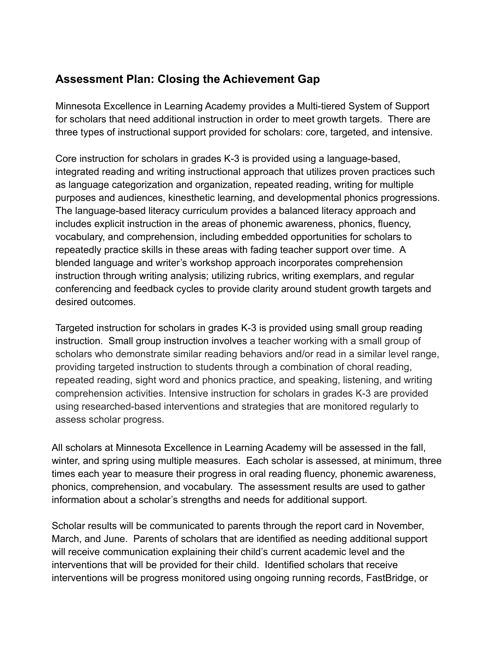## **Assessment Plan: Closing the Achievement Gap**

Minnesota Excellence in Learning Academy provides a Multi-tiered System of Support for scholars that need additional instruction in order to meet growth targets. There are three types of instructional support provided for scholars: core, targeted, and intensive.

Core instruction for scholars in grades K-3 is provided using a language-based, integrated reading and writing instructional approach that utilizes proven practices such as language categorization and organization, repeated reading, writing for multiple purposes and audiences, kinesthetic learning, and developmental phonics progressions. The language-based literacy curriculum provides a balanced literacy approach and includes explicit instruction in the areas of phonemic awareness, phonics, fluency, vocabulary, and comprehension, including embedded opportunities for scholars to repeatedly practice skills in these areas with fading teacher support over time. A blended language and writer's workshop approach incorporates comprehension instruction through writing analysis; utilizing rubrics, writing exemplars, and regular conferencing and feedback cycles to provide clarity around student growth targets and desired outcomes.

Targeted instruction for scholars in grades K-3 is provided using small group reading instruction. Small group instruction involves a teacher working with a small group of scholars who demonstrate similar reading behaviors and/or read in a similar level range, providing targeted instruction to students through a combination of choral reading, repeated reading, sight word and phonics practice, and speaking, listening, and writing comprehension activities. Intensive instruction for scholars in grades K-3 are provided using researched-based interventions and strategies that are monitored regularly to assess scholar progress.

All scholars at Minnesota Excellence in Learning Academy will be assessed in the fall, winter, and spring using multiple measures. Each scholar is assessed, at minimum, three times each year to measure their progress in oral reading fluency, phonemic awareness, phonics, comprehension, and vocabulary. The assessment results are used to gather information about a scholar's strengths and needs for additional support.

Scholar results will be communicated to parents through the report card in November, March, and June. Parents of scholars that are identified as needing additional support will receive communication explaining their child's current academic level and the interventions that will be provided for their child. Identified scholars that receive interventions will be progress monitored using ongoing running records, FastBridge, or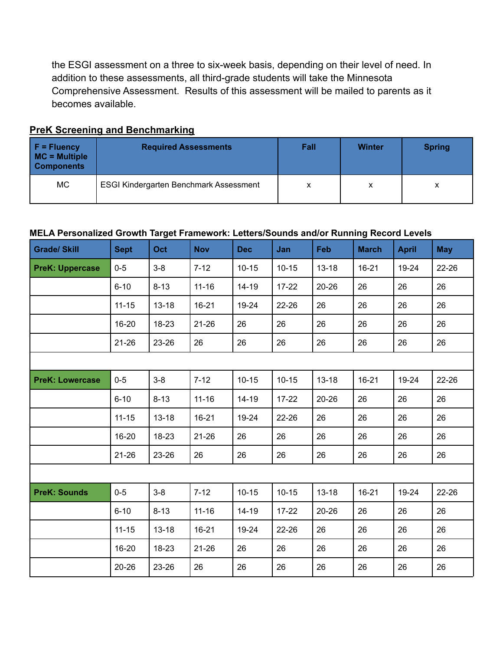the ESGI assessment on a three to six-week basis, depending on their level of need. In addition to these assessments, all third-grade students will take the Minnesota Comprehensive Assessment. Results of this assessment will be mailed to parents as it becomes available.

| $F = Fluency$<br>$MC = Multiple$<br><b>Components</b> | <b>Required Assessments</b>                   | Fall | <b>Winter</b> | <b>Spring</b> |
|-------------------------------------------------------|-----------------------------------------------|------|---------------|---------------|
| MC                                                    | <b>ESGI Kindergarten Benchmark Assessment</b> | х    | х             | X             |

#### **PreK Screening and Benchmarking**

#### **MELA Personalized Growth Target Framework: Letters/Sounds and/or Running Record Levels**

| <b>Grade/ Skill</b>    | <b>Sept</b> | Oct       | <b>Nov</b> | <b>Dec</b> | Jan       | Feb       | <b>March</b> | <b>April</b> | <b>May</b> |
|------------------------|-------------|-----------|------------|------------|-----------|-----------|--------------|--------------|------------|
| <b>PreK: Uppercase</b> | $0-5$       | $3-8$     | $7 - 12$   | $10 - 15$  | $10 - 15$ | $13 - 18$ | $16 - 21$    | 19-24        | 22-26      |
|                        | $6 - 10$    | $8 - 13$  | $11 - 16$  | $14 - 19$  | $17 - 22$ | $20 - 26$ | 26           | 26           | 26         |
|                        | $11 - 15$   | $13 - 18$ | $16 - 21$  | 19-24      | 22-26     | 26        | 26           | 26           | 26         |
|                        | 16-20       | 18-23     | $21 - 26$  | 26         | 26        | 26        | 26           | 26           | 26         |
|                        | $21 - 26$   | 23-26     | 26         | 26         | 26        | 26        | 26           | 26           | 26         |
|                        |             |           |            |            |           |           |              |              |            |
| <b>PreK: Lowercase</b> | $0-5$       | $3-8$     | $7 - 12$   | $10 - 15$  | $10 - 15$ | $13 - 18$ | $16 - 21$    | 19-24        | 22-26      |
|                        | $6 - 10$    | $8 - 13$  | $11 - 16$  | $14 - 19$  | $17 - 22$ | $20 - 26$ | 26           | 26           | 26         |
|                        | $11 - 15$   | $13 - 18$ | 16-21      | 19-24      | 22-26     | 26        | 26           | 26           | 26         |
|                        | 16-20       | $18 - 23$ | $21 - 26$  | 26         | 26        | 26        | 26           | 26           | 26         |
|                        | $21 - 26$   | 23-26     | 26         | 26         | 26        | 26        | 26           | 26           | 26         |
|                        |             |           |            |            |           |           |              |              |            |
| <b>PreK: Sounds</b>    | $0-5$       | $3-8$     | $7 - 12$   | $10 - 15$  | $10 - 15$ | $13 - 18$ | $16 - 21$    | 19-24        | 22-26      |
|                        | $6 - 10$    | $8 - 13$  | $11 - 16$  | $14 - 19$  | $17 - 22$ | $20 - 26$ | 26           | 26           | 26         |
|                        | $11 - 15$   | $13 - 18$ | $16 - 21$  | 19-24      | 22-26     | 26        | 26           | 26           | 26         |
|                        | 16-20       | 18-23     | $21 - 26$  | 26         | 26        | 26        | 26           | 26           | 26         |
|                        | $20 - 26$   | 23-26     | 26         | 26         | 26        | 26        | 26           | 26           | 26         |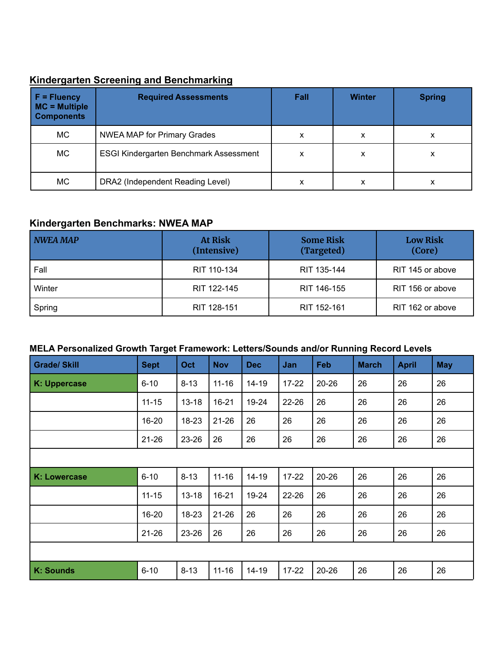## **Kindergarten Screening and Benchmarking**

| $F =$ Fluency<br>$MC = Multiple$<br><b>Components</b> | <b>Required Assessments</b>                   | Fall | <b>Winter</b> | <b>Spring</b> |
|-------------------------------------------------------|-----------------------------------------------|------|---------------|---------------|
| МC                                                    | <b>NWEA MAP for Primary Grades</b>            | x    | х             | x             |
| МC                                                    | <b>ESGI Kindergarten Benchmark Assessment</b> | x    | х             | x             |
| МC                                                    | DRA2 (Independent Reading Level)              | x    | х             | x             |

#### **Kindergarten Benchmarks: NWEA MAP**

| NWEA MAP | <b>At Risk</b><br>(Intensive) | <b>Some Risk</b><br>(Targeted) | <b>Low Risk</b><br>(Core) |
|----------|-------------------------------|--------------------------------|---------------------------|
| Fall     | RIT 110-134                   | RIT 135-144                    | RIT 145 or above          |
| Winter   | RIT 122-145                   | RIT 146-155                    | RIT 156 or above          |
| Spring   | RIT 128-151                   | RIT 152-161                    | RIT 162 or above          |

#### **MELA Personalized Growth Target Framework: Letters/Sounds and/or Running Record Levels**

| <b>Grade/ Skill</b> | <b>Sept</b> | Oct       | <b>Nov</b> | <b>Dec</b> | Jan       | Feb       | <b>March</b> | <b>April</b> | <b>May</b> |
|---------------------|-------------|-----------|------------|------------|-----------|-----------|--------------|--------------|------------|
| K: Uppercase        | $6 - 10$    | $8 - 13$  | $11 - 16$  | 14-19      | $17 - 22$ | $20 - 26$ | 26           | 26           | 26         |
|                     | $11 - 15$   | $13 - 18$ | $16 - 21$  | 19-24      | 22-26     | 26        | 26           | 26           | 26         |
|                     | 16-20       | $18 - 23$ | $21 - 26$  | 26         | 26        | 26        | 26           | 26           | 26         |
|                     | $21 - 26$   | 23-26     | 26         | 26         | 26        | 26        | 26           | 26           | 26         |
|                     |             |           |            |            |           |           |              |              |            |
| K: Lowercase        | $6 - 10$    | $8 - 13$  | $11 - 16$  | $14 - 19$  | $17 - 22$ | $20 - 26$ | 26           | 26           | 26         |
|                     | $11 - 15$   | $13 - 18$ | $16 - 21$  | 19-24      | 22-26     | 26        | 26           | 26           | 26         |
|                     | 16-20       | 18-23     | $21 - 26$  | 26         | 26        | 26        | 26           | 26           | 26         |
|                     | $21 - 26$   | 23-26     | 26         | 26         | 26        | 26        | 26           | 26           | 26         |
|                     |             |           |            |            |           |           |              |              |            |
| <b>K: Sounds</b>    | $6 - 10$    | $8 - 13$  | $11 - 16$  | $14 - 19$  | $17 - 22$ | 20-26     | 26           | 26           | 26         |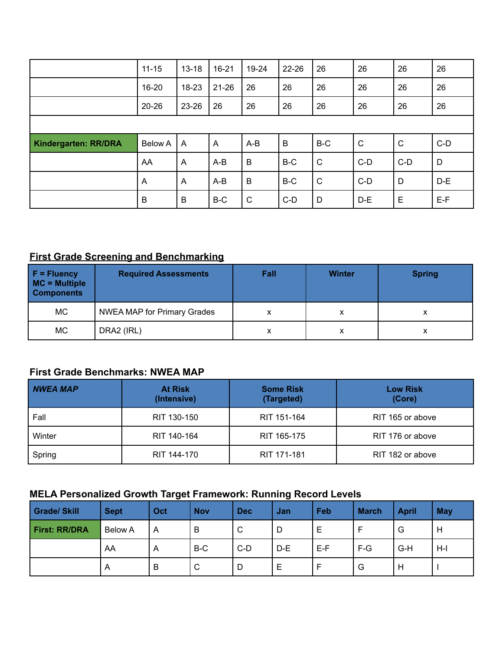|                             | $11 - 15$      | $13 - 18$      | $16 - 21$ | 19-24       | 22-26 | 26           | 26           | 26    | 26    |
|-----------------------------|----------------|----------------|-----------|-------------|-------|--------------|--------------|-------|-------|
|                             | 16-20          | 18-23          | $21 - 26$ | 26          | 26    | 26           | 26           | 26    | 26    |
|                             | $20 - 26$      | 23-26          | 26        | 26          | 26    | 26           | 26           | 26    | 26    |
|                             |                |                |           |             |       |              |              |       |       |
|                             |                |                |           |             |       |              |              |       |       |
|                             | <b>Below A</b> | A              | A         | $A-B$       | B     | B-C          | $\mathsf{C}$ | C     | $C-D$ |
| <b>Kindergarten: RR/DRA</b> | AA             | $\overline{A}$ | A-B       | $\mathsf B$ | B-C   | $\mathsf{C}$ | $C-D$        | $C-D$ | D     |
|                             | A              | $\overline{A}$ | A-B       | B           | B-C   | $\mathsf{C}$ | $C-D$        | D     | $D-E$ |

## **First Grade Screening and Benchmarking**

| $F = Fluency$<br>MC = Multiple<br><b>Components</b> | <b>Required Assessments</b>        | Fall | <b>Winter</b> | <b>Spring</b> |
|-----------------------------------------------------|------------------------------------|------|---------------|---------------|
| MC                                                  | <b>NWEA MAP for Primary Grades</b> | x    | x             |               |
| <b>MC</b>                                           | DRA2 (IRL)                         | x    | x             |               |

## **First Grade Benchmarks: NWEA MAP**

| <b>NWEA MAP</b> | <b>At Risk</b><br>(Intensive) | <b>Some Risk</b><br>(Targeted) | <b>Low Risk</b><br>(Core) |  |
|-----------------|-------------------------------|--------------------------------|---------------------------|--|
| Fall            | RIT 130-150                   | RIT 151-164                    | RIT 165 or above          |  |
| Winter          | RIT 140-164                   | RIT 165-175                    | RIT 176 or above          |  |
| Spring          | RIT 144-170                   | RIT 171-181                    | RIT 182 or above          |  |

| <b>Grade/Skill</b>   | <b>Sept</b>             | Oct            | <b>Nov</b> | <b>Dec</b> | Jan | Feb   | <b>March</b> | <b>April</b> | May |
|----------------------|-------------------------|----------------|------------|------------|-----|-------|--------------|--------------|-----|
| <b>First: RR/DRA</b> | <b>Below A</b>          | A              | B          | C          | D   | Е     |              | G            | H   |
|                      | AA                      | $\overline{A}$ | B-C        | $C-D$      | D-E | $E-F$ | $F-G$        | $G-H$        | H-I |
|                      | $\overline{\mathsf{A}}$ | B              | C          | D          | Е   |       | G            | H            |     |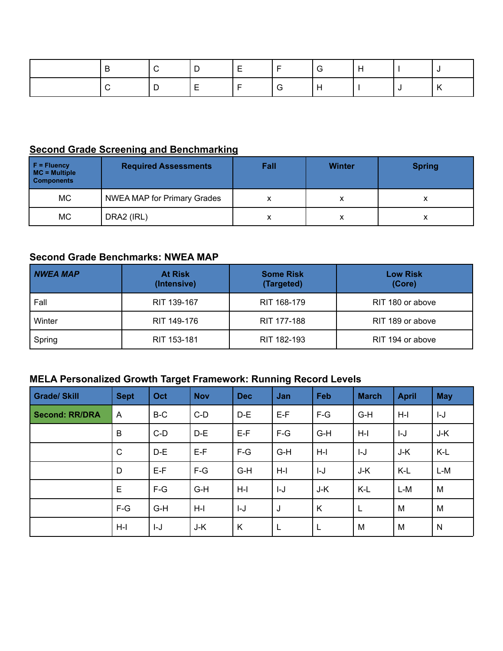|  | 1 D | $\blacksquare$<br>$\blacksquare$<br><u>_</u> |  |  |  |
|--|-----|----------------------------------------------|--|--|--|
|  |     | - I E                                        |  |  |  |

#### **Second Grade Screening and Benchmarking**

| $F =$ Fluency<br>$MC = Multiple$<br><b>Components</b> | <b>Required Assessments</b> | Fall | <b>Winter</b> | <b>Spring</b> |
|-------------------------------------------------------|-----------------------------|------|---------------|---------------|
| MC.                                                   | NWEA MAP for Primary Grades | х    | х             |               |
| MC.                                                   | DRA2 (IRL)                  | х    | х             |               |

#### **Second Grade Benchmarks: NWEA MAP**

| NWEA MAP | <b>At Risk</b><br>(Intensive) | <b>Some Risk</b><br>(Targeted) | <b>Low Risk</b><br>(Core) |  |
|----------|-------------------------------|--------------------------------|---------------------------|--|
| Fall     | RIT 139-167                   | RIT 168-179                    | RIT 180 or above          |  |
| Winter   | RIT 149-176                   | RIT 177-188                    | RIT 189 or above          |  |
| Spring   | RIT 153-181                   | RIT 182-193                    | RIT 194 or above          |  |

| <b>Grade/ Skill</b>   | <b>Sept</b>  | Oct   | <b>Nov</b> | <b>Dec</b> | Jan   | Feb   | <b>March</b> | <b>April</b> | <b>May</b>   |
|-----------------------|--------------|-------|------------|------------|-------|-------|--------------|--------------|--------------|
| <b>Second: RR/DRA</b> | A            | B-C   | $C-D$      | $D-E$      | $E-F$ | $F-G$ | G-H          | $H-I$        | $I-J$        |
|                       | B            | $C-D$ | $D-E$      | $E-F$      | $F-G$ | $G-H$ | $H-I$        | $I-J$        | J-K          |
|                       | $\mathsf{C}$ | $D-E$ | $E-F$      | $F-G$      | $G-H$ | $H-I$ | $I-J$        | J-K          | K-L          |
|                       | D            | $E-F$ | $F-G$      | $G-H$      | $H-I$ | $I-J$ | J-K          | K-L          | L-M          |
|                       | E            | $F-G$ | $G-H$      | $H-I$      | I-J   | J-K   | K-L          | $L-M$        | M            |
|                       | $F-G$        | $G-H$ | $H-I$      | $I-J$      | J     | K     | L            | M            | M            |
|                       | $H-I$        | I-J   | J-K        | K          | L     | L     | M            | M            | $\mathsf{N}$ |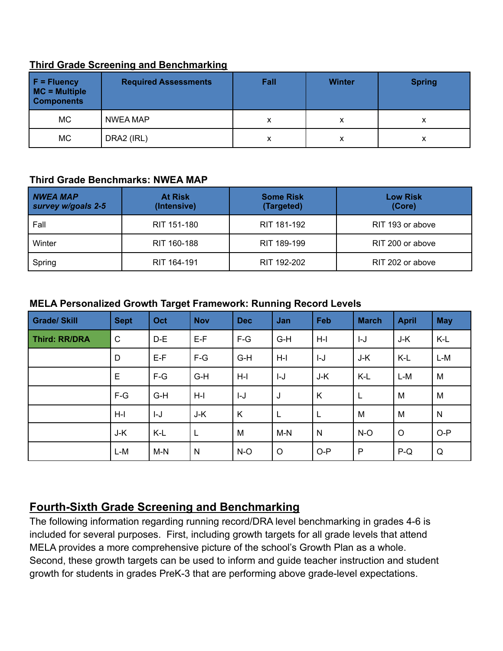#### **Third Grade Screening and Benchmarking**

| $F = Fluency$<br>MC = Multiple<br><b>Components</b> | <b>Required Assessments</b> | Fall | <b>Winter</b> | <b>Spring</b> |
|-----------------------------------------------------|-----------------------------|------|---------------|---------------|
| МC                                                  | <b>NWEA MAP</b>             | x    |               |               |
| МC                                                  | DRA2 (IRL)                  | х    | x             | х             |

#### **Third Grade Benchmarks: NWEA MAP**

| <b>NWEA MAP</b><br>survey w/goals 2-5 | <b>At Risk</b><br>(Intensive) | <b>Some Risk</b><br>(Targeted) | <b>Low Risk</b><br>(Core) |  |
|---------------------------------------|-------------------------------|--------------------------------|---------------------------|--|
| Fall                                  | RIT 151-180                   | RIT 181-192                    | RIT 193 or above          |  |
| Winter                                | RIT 160-188                   | RIT 189-199                    | RIT 200 or above          |  |
| Spring                                | RIT 164-191                   | RIT 192-202                    | RIT 202 or above          |  |

#### **MELA Personalized Growth Target Framework: Running Record Levels**

| <b>Grade/Skill</b> | <b>Sept</b>  | Oct   | <b>Nov</b> | <b>Dec</b> | Jan     | Feb          | <b>March</b> | <b>April</b> | <b>May</b>   |
|--------------------|--------------|-------|------------|------------|---------|--------------|--------------|--------------|--------------|
| Third: RR/DRA      | $\mathsf{C}$ | $D-E$ | $E-F$      | $F-G$      | $G-H$   | $H-I$        | $I-J$        | J-K          | K-L          |
|                    | D            | $E-F$ | $F-G$      | $G-H$      | $H-I$   | $I-J$        | J-K          | K-L          | $L-M$        |
|                    | $\mathsf E$  | $F-G$ | $G-H$      | $H-I$      | I-J     | J-K          | $K-L$        | L-M          | M            |
|                    | $F-G$        | $G-H$ | $H-I$      | $I-J$      | J       | K            | $\mathbf{L}$ | M            | M            |
|                    | $H-I$        | I-J   | J-K        | K          | L       |              | M            | M            | $\mathsf{N}$ |
|                    | J-K          | K-L   | L          | M          | $M-N$   | $\mathsf{N}$ | $N-O$        | $\circ$      | $O-P$        |
|                    | L-M          | $M-N$ | N          | $N-O$      | $\circ$ | $O-P$        | P            | $P-Q$        | Q            |

## **Fourth-Sixth Grade Screening and Benchmarking**

The following information regarding running record/DRA level benchmarking in grades 4-6 is included for several purposes. First, including growth targets for all grade levels that attend MELA provides a more comprehensive picture of the school's Growth Plan as a whole. Second, these growth targets can be used to inform and guide teacher instruction and student growth for students in grades PreK-3 that are performing above grade-level expectations.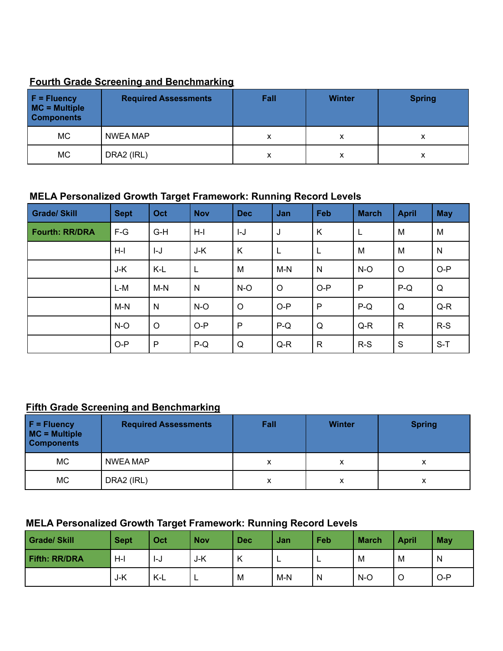#### **Fourth Grade Screening and Benchmarking**

| $F = Fluency$<br>MC = Multiple<br><b>Components</b> | <b>Required Assessments</b> | Fall | <b>Winter</b> | <b>Spring</b> |
|-----------------------------------------------------|-----------------------------|------|---------------|---------------|
| МC                                                  | <b>NWEA MAP</b>             |      |               |               |
| МC                                                  | DRA2 (IRL)                  |      |               |               |

#### **MELA Personalized Growth Target Framework: Running Record Levels**

| <b>Grade/Skill</b>    | <b>Sept</b> | Oct          | <b>Nov</b> | <b>Dec</b>   | Jan     | Feb          | <b>March</b> | <b>April</b> | <b>May</b>   |
|-----------------------|-------------|--------------|------------|--------------|---------|--------------|--------------|--------------|--------------|
| <b>Fourth: RR/DRA</b> | $F-G$       | $G-H$        | $H-I$      | $I-J$        | J       | Κ            | L            | M            | M            |
|                       | $H-I$       | I-J          | J-K        | K            | L       |              | M            | M            | $\mathsf{N}$ |
|                       | J-K         | K-L          | L          | M            | $M-N$   | N            | $N-O$        | $\circ$      | $O-P$        |
|                       | L-M         | $M-N$        | N          | $N-O$        | $\circ$ | $O-P$        | $\mathsf{P}$ | $P-Q$        | Q            |
|                       | $M-N$       | $\mathsf{N}$ | $N-O$      | $\circ$      | $O-P$   | $\mathsf{P}$ | $P-Q$        | Q            | $Q-R$        |
|                       | $N-O$       | $\circ$      | $O-P$      | $\mathsf{P}$ | $P-Q$   | Q            | $Q-R$        | $\mathsf{R}$ | $R-S$        |
|                       | $O-P$       | P            | $P-Q$      | Q            | $Q-R$   | $\mathsf{R}$ | $R-S$        | S            | $S-T$        |

#### **Fifth Grade Screening and Benchmarking**

| $F = Fluency$<br>MC = Multiple<br><b>Components</b> | <b>Required Assessments</b> | Fall | <b>Winter</b> | <b>Spring</b> |
|-----------------------------------------------------|-----------------------------|------|---------------|---------------|
| МC                                                  | NWEA MAP                    | х    |               |               |
| МC                                                  | DRA2 (IRL)                  |      | x             | v             |

| Grade/Skill          | <b>Sept</b> | Oct | <b>Nov</b> | <b>Dec</b>               | Jan   | Feb | <b>March</b> | <b>April</b> | May   |
|----------------------|-------------|-----|------------|--------------------------|-------|-----|--------------|--------------|-------|
| <b>Fifth: RR/DRA</b> | $H-I$       | I-J | J-K        | $\overline{\phantom{a}}$ | -     | −   | M            | M            | N     |
|                      | J-K         | K-L | -          | M                        | $M-N$ | N   | $N-O$        | O            | $O-P$ |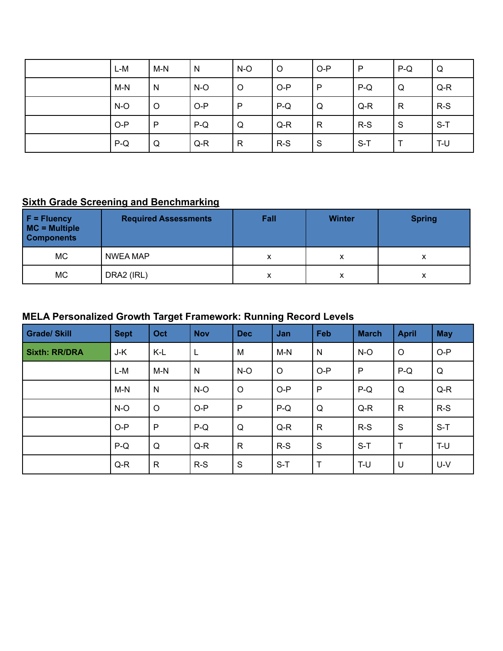| $L-M$ | $M-N$   | N     | $N-O$        | $\circ$ | $O-P$        | P     | $P-Q$        | Q     |
|-------|---------|-------|--------------|---------|--------------|-------|--------------|-------|
| $M-N$ | N       | $N-O$ | $\circ$      | $O-P$   | $\mathsf{P}$ | $P-Q$ | Q            | $Q-R$ |
| $N-O$ | $\circ$ | $O-P$ | P            | $P-Q$   | Q            | $Q-R$ | $\mathsf{R}$ | $R-S$ |
| $O-P$ | P       | $P-Q$ | Q            | $Q-R$   | $\mathsf{R}$ | $R-S$ | S            | $S-T$ |
| $P-Q$ | Q       | $Q-R$ | $\mathsf{R}$ | $R-S$   | S            | $S-T$ |              | T-U   |

## **Sixth Grade Screening and Benchmarking**

| $F = Fluency$<br>MC = Multiple<br><b>Components</b> | <b>Required Assessments</b> | Fall | <b>Winter</b>     | <b>Spring</b> |
|-----------------------------------------------------|-----------------------------|------|-------------------|---------------|
| <b>MC</b>                                           | NWEA MAP                    | х    | $\checkmark$<br>⋏ |               |
| <b>MC</b>                                           | DRA2 (IRL)                  | х    | x                 |               |

| <b>Grade/ Skill</b>  | <b>Sept</b> | Oct          | <b>Nov</b> | <b>Dec</b>   | Jan     | Feb          | <b>March</b> | <b>April</b> | <b>May</b> |
|----------------------|-------------|--------------|------------|--------------|---------|--------------|--------------|--------------|------------|
| <b>Sixth: RR/DRA</b> | J-K         | K-L          | L          | M            | $M-N$   | $\mathsf{N}$ | $N-O$        | $\circ$      | $O-P$      |
|                      | L-M         | M-N          | N          | $N-O$        | $\circ$ | $O-P$        | $\mathsf{P}$ | $P-Q$        | Q          |
|                      | $M-N$       | $\mathsf{N}$ | $N-O$      | $\circ$      | $O-P$   | P            | $P-Q$        | Q            | $Q-R$      |
|                      | $N-O$       | $\circ$      | $O-P$      | $\mathsf{P}$ | $P-Q$   | Q            | $Q-R$        | $\mathsf{R}$ | $R-S$      |
|                      | $O-P$       | $\mathsf{P}$ | $P-Q$      | Q            | $Q-R$   | $\mathsf{R}$ | $R-S$        | S            | $S-T$      |
|                      | $P-Q$       | Q            | $Q-R$      | $\mathsf{R}$ | $R-S$   | S            | $S-T$        | $\mathsf{T}$ | T-U        |
|                      | $Q-R$       | $\mathsf{R}$ | $R-S$      | S            | $S-T$   | T            | T-U          | U            | U-V        |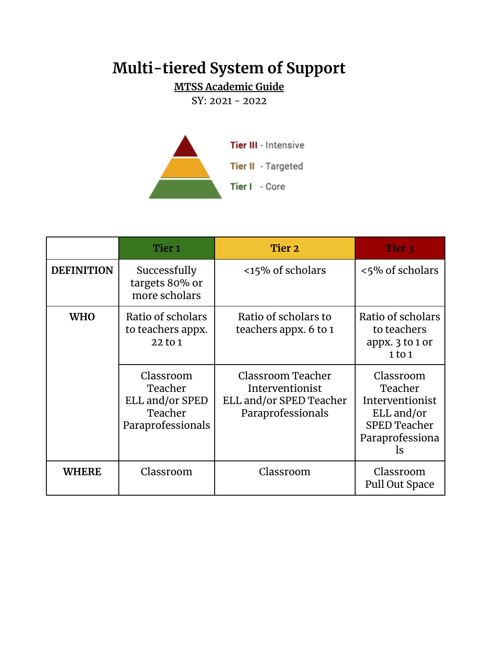# **Multi-tiered System of Support**

# **MTSS Academic Guide**

SY: 2021 - 2022



|                   | Tier <sub>1</sub>                                                       | Tier 2                                                                               | Tier 3                                                                                                |
|-------------------|-------------------------------------------------------------------------|--------------------------------------------------------------------------------------|-------------------------------------------------------------------------------------------------------|
| <b>DEFINITION</b> | Successfully<br>targets 80% or<br>more scholars                         | <15% of scholars                                                                     | <5% of scholars                                                                                       |
| <b>WHO</b>        | Ratio of scholars<br>to teachers appx.<br>22 to 1                       | Ratio of scholars to<br>teachers appx. 6 to 1                                        | Ratio of scholars<br>to teachers<br>appx. 3 to 1 or<br>1 to 1                                         |
|                   | Classroom<br>Teacher<br>ELL and/or SPED<br>Teacher<br>Paraprofessionals | Classroom Teacher<br>Interventionist<br>ELL and/or SPED Teacher<br>Paraprofessionals | Classroom<br>Teacher<br>Interventionist<br>ELL and/or<br><b>SPED Teacher</b><br>Paraprofessiona<br>ls |
| <b>WHERE</b>      | Classroom                                                               | Classroom                                                                            | Classroom<br>Pull Out Space                                                                           |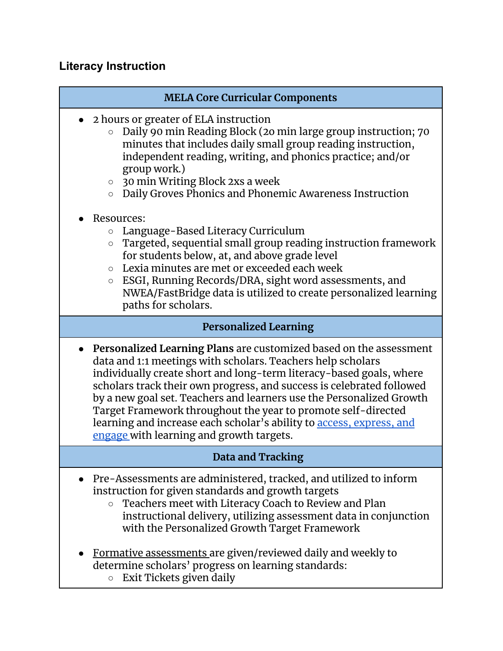## **Literacy Instruction**

#### **MELA Core Curricular Components**

- 2 hours or greater of ELA instruction
	- Daily 90 min Reading Block (2o min large group instruction; 70 minutes that includes daily small group reading instruction, independent reading, writing, and phonics practice; and/or group work.)
	- 30 min Writing Block 2xs a week
	- Daily Groves Phonics and Phonemic Awareness Instruction
- Resources:
	- Language-Based Literacy Curriculum
	- Targeted, sequential small group reading instruction framework for students below, at, and above grade level
	- Lexia minutes are met or exceeded each week
	- ESGI, Running Records/DRA, sight word assessments, and NWEA/FastBridge data is utilized to create personalized learning paths for scholars.

#### **Personalized Learning**

● **Personalized Learning Plans** are customized based on the assessment data and 1:1 meetings with scholars. Teachers help scholars individually create short and long-term literacy-based goals, where scholars track their own progress, and success is celebrated followed by a new goal set. Teachers and learners use the Personalized Growth Target Framework throughout the year to promote self-directed learning and increase each scholar's ability to **access**, [express,](http://www.cast.org/our-work/about-udl.html#.V1rMbZMrKRs) and [engage](http://www.cast.org/our-work/about-udl.html#.V1rMbZMrKRs) with learning and growth targets.

## **Data and Tracking**

- Pre-Assessments are administered, tracked, and utilized to inform instruction for given standards and growth targets
	- Teachers meet with Literacy Coach to Review and Plan instructional delivery, utilizing assessment data in conjunction with the Personalized Growth Target Framework
- Formative assessments are given/reviewed daily and weekly to determine scholars' progress on learning standards:
	- Exit Tickets given daily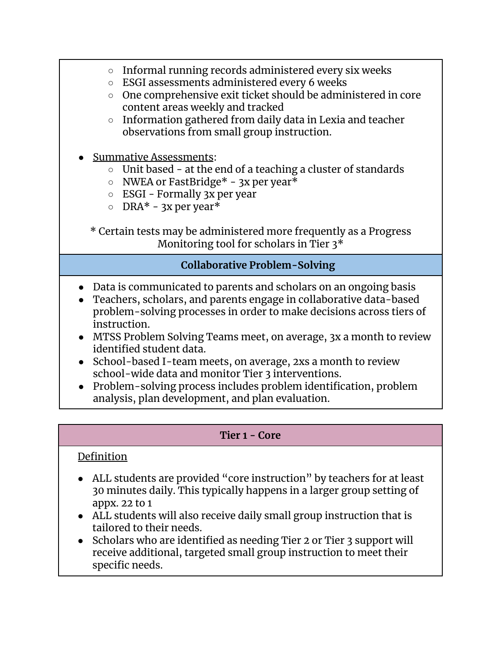- Informal running records administered every six weeks
- ESGI assessments administered every 6 weeks
- One comprehensive exit ticket should be administered in core content areas weekly and tracked
- Information gathered from daily data in Lexia and teacher observations from small group instruction.
- **Summative Assessments:** 
	- Unit based at the end of a teaching a cluster of standards
	- $\circ$  NWEA or FastBridge\* 3x per year\*
	- ESGI Formally 3x per year
	- $\circ$  DRA\* 3x per year\*

\* Certain tests may be administered more frequently as a Progress Monitoring tool for scholars in Tier 3\*

## **Collaborative Problem-Solving**

- Data is communicated to parents and scholars on an ongoing basis
- Teachers, scholars, and parents engage in collaborative data-based problem-solving processes in order to make decisions across tiers of instruction.
- MTSS Problem Solving Teams meet, on average, 3x a month to review identified student data.
- School-based I-team meets, on average, 2xs a month to review school-wide data and monitor Tier 3 interventions.
- Problem-solving process includes problem identification, problem analysis, plan development, and plan evaluation.

#### **Tier 1 - Core**

## Definition

- ALL students are provided "core instruction" by teachers for at least 30 minutes daily. This typically happens in a larger group setting of appx. 22 to 1
- ALL students will also receive daily small group instruction that is tailored to their needs.
- Scholars who are identified as needing Tier 2 or Tier 3 support will receive additional, targeted small group instruction to meet their specific needs.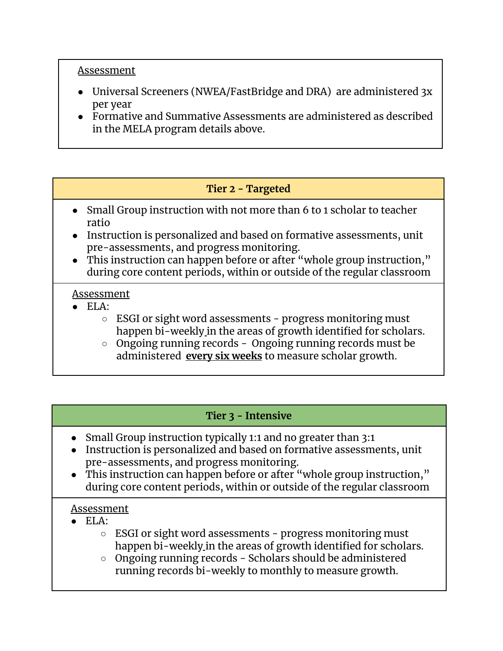#### Assessment

- Universal Screeners (NWEA/FastBridge and DRA) are administered 3x per year
- Formative and Summative Assessments are administered as described in the MELA program details above.

## **Tier 2 - Targeted**

- Small Group instruction with not more than 6 to 1 scholar to teacher ratio
- Instruction is personalized and based on formative assessments, unit pre-assessments, and progress monitoring.
- This instruction can happen before or after "whole group instruction," during core content periods, within or outside of the regular classroom

#### Assessment

- $\bullet$  ELA:
	- ESGI or sight word assessments progress monitoring must happen bi-weekly in the areas of growth identified for scholars.
	- Ongoing running records Ongoing running records must be administered **every six weeks** to measure scholar growth.

## **Tier 3 - Intensive**

- Small Group instruction typically 1:1 and no greater than 3:1
- Instruction is personalized and based on formative assessments, unit pre-assessments, and progress monitoring.
- This instruction can happen before or after "whole group instruction," during core content periods, within or outside of the regular classroom

#### Assessment

- $\bullet$  ELA:
	- ESGI or sight word assessments progress monitoring must happen bi-weekly in the areas of growth identified for scholars.
	- Ongoing running records Scholars should be administered running records bi-weekly to monthly to measure growth.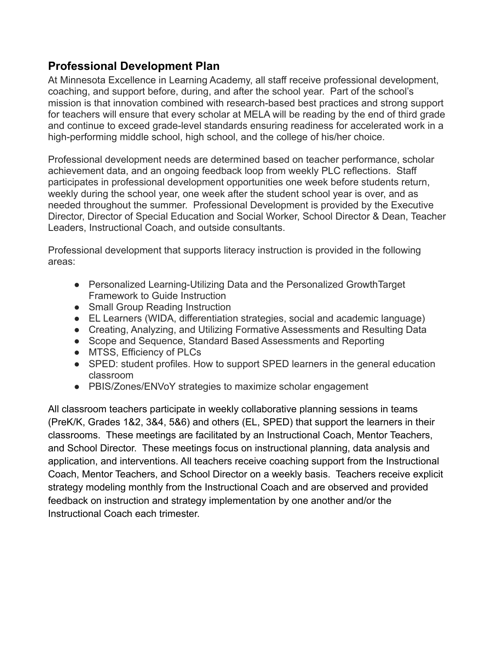## **Professional Development Plan**

At Minnesota Excellence in Learning Academy, all staff receive professional development, coaching, and support before, during, and after the school year. Part of the school's mission is that innovation combined with research-based best practices and strong support for teachers will ensure that every scholar at MELA will be reading by the end of third grade and continue to exceed grade-level standards ensuring readiness for accelerated work in a high-performing middle school, high school, and the college of his/her choice.

Professional development needs are determined based on teacher performance, scholar achievement data, and an ongoing feedback loop from weekly PLC reflections. Staff participates in professional development opportunities one week before students return, weekly during the school year, one week after the student school year is over, and as needed throughout the summer. Professional Development is provided by the Executive Director, Director of Special Education and Social Worker, School Director & Dean, Teacher Leaders, Instructional Coach, and outside consultants.

Professional development that supports literacy instruction is provided in the following areas:

- Personalized Learning-Utilizing Data and the Personalized GrowthTarget Framework to Guide Instruction
- Small Group Reading Instruction
- EL Learners (WIDA, differentiation strategies, social and academic language)
- Creating, Analyzing, and Utilizing Formative Assessments and Resulting Data
- Scope and Sequence, Standard Based Assessments and Reporting
- MTSS, Efficiency of PLCs
- SPED: student profiles. How to support SPED learners in the general education classroom
- PBIS/Zones/ENVoY strategies to maximize scholar engagement

All classroom teachers participate in weekly collaborative planning sessions in teams (PreK/K, Grades 1&2, 3&4, 5&6) and others (EL, SPED) that support the learners in their classrooms. These meetings are facilitated by an Instructional Coach, Mentor Teachers, and School Director. These meetings focus on instructional planning, data analysis and application, and interventions. All teachers receive coaching support from the Instructional Coach, Mentor Teachers, and School Director on a weekly basis. Teachers receive explicit strategy modeling monthly from the Instructional Coach and are observed and provided feedback on instruction and strategy implementation by one another and/or the Instructional Coach each trimester.